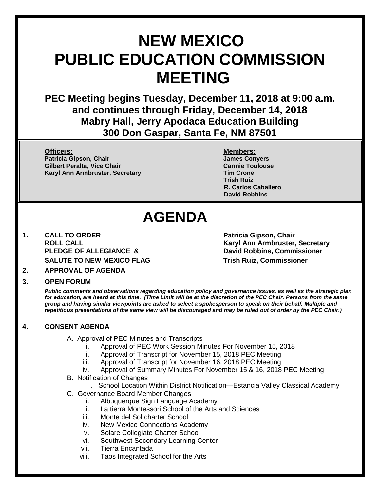# **NEW MEXICO PUBLIC EDUCATION COMMISSION MEETING**

**PEC Meeting begins Tuesday, December 11, 2018 at 9:00 a.m. and continues through Friday, December 14, 2018 Mabry Hall, Jerry Apodaca Education Building 300 Don Gaspar, Santa Fe, NM 87501**

**Officers: Members: Patricia Gipson, Chair James Conyers Gilbert Peralta, Vice Chair Carmie Toulouse** Carmie Toulouse **Karyl Ann Armbruster, Secretary Tim Crone**

**Trish Ruiz R. Carlos Caballero David Robbins**

## **AGENDA**

**1. CALL TO ORDER Patricia Gipson, Chair PLEDGE OF ALLEGIANCE & David Robbins, Commissioner SALUTE TO NEW MEXICO FLAG Trish Ruiz, Commissioner**

**ROLL CALL Karyl Ann Armbruster, Secretary**

**2. APPROVAL OF AGENDA**

#### **3. OPEN FORUM**

*Public comments and observations regarding education policy and governance issues, as well as the strategic plan for education, are heard at this time. (Time Limit will be at the discretion of the PEC Chair. Persons from the same group and having similar viewpoints are asked to select a spokesperson to speak on their behalf. Multiple and repetitious presentations of the same view will be discouraged and may be ruled out of order by the PEC Chair.)*

## **4. CONSENT AGENDA**

- A. Approval of PEC Minutes and Transcripts
	- Approval of PEC Work Session Minutes For November 15, 2018
	- ii. Approval of Transcript for November 15, 2018 PEC Meeting
	- iii. Approval of Transcript for November 16, 2018 PEC Meeting
	- iv. Approval of Summary Minutes For November 15 & 16, 2018 PEC Meeting
- B. Notification of Changes
	- i. School Location Within District Notification—Estancia Valley Classical Academy
- C. Governance Board Member Changes
	- i. Albuquerque Sign Language Academy
	- ii. La tierra Montessori School of the Arts and Sciences
	- iii. Monte del Sol charter School
	- iv. New Mexico Connections Academy
	- v. Solare Collegiate Charter School
	- vi. Southwest Secondary Learning Center
	- vii. Tierra Encantada
	- viii. Taos Integrated School for the Arts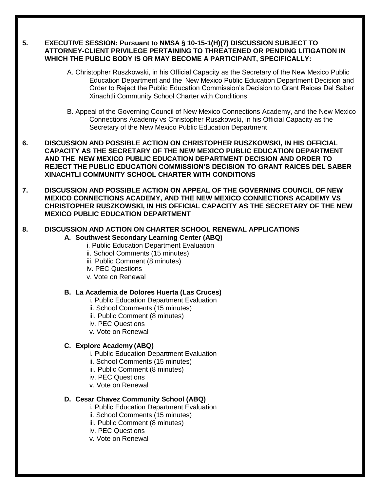#### **5. EXECUTIVE SESSION: Pursuant to NMSA § 10-15-1(H)(7) DISCUSSION SUBJECT TO ATTORNEY-CLIENT PRIVILEGE PERTAINING TO THREATENED OR PENDING LITIGATION IN WHICH THE PUBLIC BODY IS OR MAY BECOME A PARTICIPANT, SPECIFICALLY:**

- A. Christopher Ruszkowski, in his Official Capacity as the Secretary of the New Mexico Public Education Department and the New Mexico Public Education Department Decision and Order to Reject the Public Education Commission's Decision to Grant Raices Del Saber Xinachtli Community School Charter with Conditions
- B. Appeal of the Governing Council of New Mexico Connections Academy, and the New Mexico Connections Academy vs Christopher Ruszkowski, in his Official Capacity as the Secretary of the New Mexico Public Education Department
- **6. DISCUSSION AND POSSIBLE ACTION ON CHRISTOPHER RUSZKOWSKI, IN HIS OFFICIAL CAPACITY AS THE SECRETARY OF THE NEW MEXICO PUBLIC EDUCATION DEPARTMENT AND THE NEW MEXICO PUBLIC EDUCATION DEPARTMENT DECISION AND ORDER TO REJECT THE PUBLIC EDUCATION COMMISSION'S DECISION TO GRANT RAICES DEL SABER XINACHTLI COMMUNITY SCHOOL CHARTER WITH CONDITIONS**
- **7. DISCUSSION AND POSSIBLE ACTION ON APPEAL OF THE GOVERNING COUNCIL OF NEW MEXICO CONNECTIONS ACADEMY, AND THE NEW MEXICO CONNECTIONS ACADEMY VS CHRISTOPHER RUSZKOWSKI, IN HIS OFFICIAL CAPACITY AS THE SECRETARY OF THE NEW MEXICO PUBLIC EDUCATION DEPARTMENT**

#### **8. DISCUSSION AND ACTION ON CHARTER SCHOOL RENEWAL APPLICATIONS A. Southwest Secondary Learning Center (ABQ)**

- i. Public Education Department Evaluation
- ii. School Comments (15 minutes)
- iii. Public Comment (8 minutes)
- iv. PEC Questions
- v. Vote on Renewal

#### **B. La Academia de Dolores Huerta (Las Cruces)**

- i. Public Education Department Evaluation
- ii. School Comments (15 minutes)
- iii. Public Comment (8 minutes)
- iv. PEC Questions
- v. Vote on Renewal

## **C. Explore Academy (ABQ)**

- i. Public Education Department Evaluation
- ii. School Comments (15 minutes)
- iii. Public Comment (8 minutes)
- iv. PEC Questions
- v. Vote on Renewal

## **D. Cesar Chavez Community School (ABQ)**

- i. Public Education Department Evaluation
- ii. School Comments (15 minutes)
- iii. Public Comment (8 minutes)
- iv. PEC Questions
- v. Vote on Renewal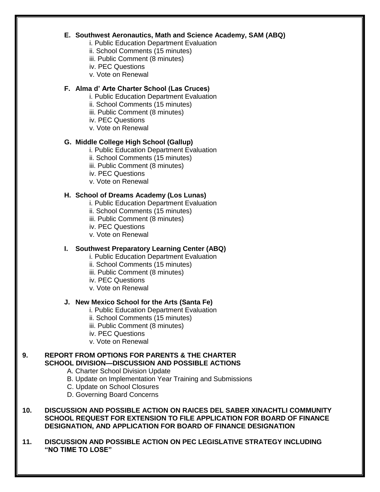#### **E. Southwest Aeronautics, Math and Science Academy, SAM (ABQ)**

- i. Public Education Department Evaluation
- ii. School Comments (15 minutes)
- iii. Public Comment (8 minutes)
- iv. PEC Questions
- v. Vote on Renewal

## **F. Alma d' Arte Charter School (Las Cruces)**

- i. Public Education Department Evaluation
- ii. School Comments (15 minutes)
- iii. Public Comment (8 minutes)
- iv. PEC Questions
- v. Vote on Renewal

## **G. Middle College High School (Gallup)**

- i. Public Education Department Evaluation
- ii. School Comments (15 minutes)
- iii. Public Comment (8 minutes)
- iv. PEC Questions
- v. Vote on Renewal

## **H. School of Dreams Academy (Los Lunas)**

- i. Public Education Department Evaluation
- ii. School Comments (15 minutes)
- iii. Public Comment (8 minutes)
- iv. PEC Questions
- v. Vote on Renewal

## **I. Southwest Preparatory Learning Center (ABQ)**

- i. Public Education Department Evaluation
- ii. School Comments (15 minutes)
- iii. Public Comment (8 minutes)
- iv. PEC Questions
- v. Vote on Renewal

## **J. New Mexico School for the Arts (Santa Fe)**

- i. Public Education Department Evaluation
- ii. School Comments (15 minutes)
- iii. Public Comment (8 minutes)
- iv. PEC Questions
- v. Vote on Renewal

## **9. REPORT FROM OPTIONS FOR PARENTS & THE CHARTER SCHOOL DIVISION—DISCUSSION AND POSSIBLE ACTIONS**

- A. Charter School Division Update
- B. Update on Implementation Year Training and Submissions
- C. Update on School Closures
- D. Governing Board Concerns

#### **10. DISCUSSION AND POSSIBLE ACTION ON RAICES DEL SABER XINACHTLI COMMUNITY SCHOOL REQUEST FOR EXTENSION TO FILE APPLICATION FOR BOARD OF FINANCE DESIGNATION, AND APPLICATION FOR BOARD OF FINANCE DESIGNATION**

**11. DISCUSSION AND POSSIBLE ACTION ON PEC LEGISLATIVE STRATEGY INCLUDING "NO TIME TO LOSE"**